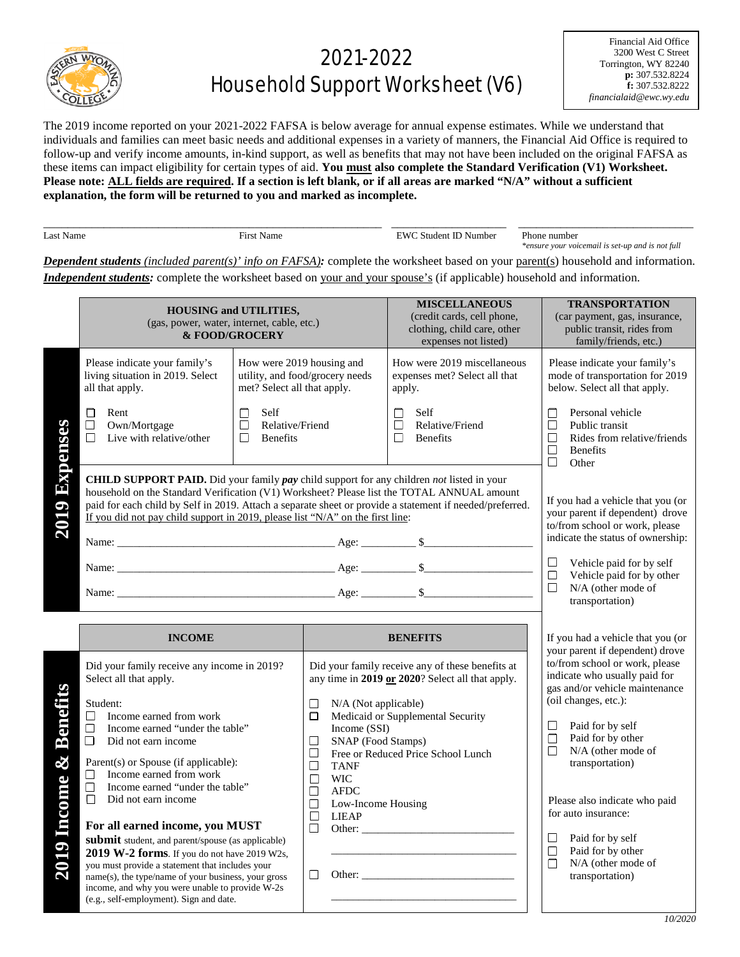

## 2021-2022 Household Support Worksheet (V6)

Financial Aid Office 3200 West C Street Torrington, WY 82240 **p:** 307.532.8224 **f:** 307.532.8222 *financialaid@ewc.wy.edu*

The 2019 income reported on your 2021-2022 FAFSA is below average for annual expense estimates. While we understand that individuals and families can meet basic needs and additional expenses in a variety of manners, the Financial Aid Office is required to follow-up and verify income amounts, in-kind support, as well as benefits that may not have been included on the original FAFSA as these items can impact eligibility for certain types of aid. **You must also complete the Standard Verification (V1) Worksheet. Please note: ALL fields are required. If a section is left blank, or if all areas are marked "N/A" without a sufficient explanation, the form will be returned to you and marked as incomplete.** 

| 2S<br>√ame | ÷<br>⊣1r<br>Name | 'W<br>Number<br>ent<br>stuc | numbe<br>'hone                                   |
|------------|------------------|-----------------------------|--------------------------------------------------|
|            |                  |                             | 7.17<br>n<br>, tuv<br>уоин<br>ensu<br><i>von</i> |

*Dependent students (included parent(s)' info on FAFSA):* complete the worksheet based on your parent(s) household and information. *Independent students:* complete the worksheet based on your and your spouse's (if applicable) household and information.

|                                   | <b>HOUSING and UTILITIES,</b><br>(gas, power, water, internet, cable, etc.)<br>& FOOD/GROCERY                                                                                                                                                                                                                                                                                         |                                                                          |                                                                                                                                        | <b>MISCELLANEOUS</b><br>(credit cards, cell phone,<br>clothing, child care, other<br>expenses not listed) | <b>TRANSPORTATION</b><br>(car payment, gas, insurance,<br>public transit, rides from<br>family/friends, etc.)                                                |
|-----------------------------------|---------------------------------------------------------------------------------------------------------------------------------------------------------------------------------------------------------------------------------------------------------------------------------------------------------------------------------------------------------------------------------------|--------------------------------------------------------------------------|----------------------------------------------------------------------------------------------------------------------------------------|-----------------------------------------------------------------------------------------------------------|--------------------------------------------------------------------------------------------------------------------------------------------------------------|
|                                   | Please indicate your family's<br>living situation in 2019. Select<br>all that apply.                                                                                                                                                                                                                                                                                                  | How were 2019 housing and<br>met? Select all that apply.                 | utility, and food/grocery needs                                                                                                        | How were 2019 miscellaneous<br>expenses met? Select all that<br>apply.                                    | Please indicate your family's<br>mode of transportation for 2019<br>below. Select all that apply.                                                            |
| Expenses                          | Rent<br>□<br>$\Box$<br>Own/Mortgage<br>$\Box$<br>Live with relative/other                                                                                                                                                                                                                                                                                                             | Self<br>$\Box$<br>$\Box$<br>Relative/Friend<br>$\Box$<br><b>Benefits</b> |                                                                                                                                        | Self<br>П<br>$\Box$<br>Relative/Friend<br>$\Box$<br><b>Benefits</b>                                       | Personal vehicle<br>П<br>$\Box$<br>Public transit<br>Rides from relative/friends<br>$\Box$<br>$\Box$<br><b>Benefits</b><br>П<br>Other                        |
| 2019                              | CHILD SUPPORT PAID. Did your family pay child support for any children not listed in your<br>household on the Standard Verification (V1) Worksheet? Please list the TOTAL ANNUAL amount<br>paid for each child by Self in 2019. Attach a separate sheet or provide a statement if needed/preferred.<br>If you did not pay child support in 2019, please list "N/A" on the first line: |                                                                          |                                                                                                                                        |                                                                                                           | If you had a vehicle that you (or<br>your parent if dependent) drove<br>to/from school or work, please<br>indicate the status of ownership:                  |
|                                   |                                                                                                                                                                                                                                                                                                                                                                                       |                                                                          |                                                                                                                                        |                                                                                                           | $\Box$<br>Vehicle paid for by self<br>$\Box$<br>Vehicle paid for by other<br>$\Box$<br>N/A (other mode of                                                    |
|                                   |                                                                                                                                                                                                                                                                                                                                                                                       |                                                                          |                                                                                                                                        |                                                                                                           | transportation)                                                                                                                                              |
|                                   | <b>INCOME</b>                                                                                                                                                                                                                                                                                                                                                                         |                                                                          |                                                                                                                                        | <b>BENEFITS</b>                                                                                           | If you had a vehicle that you (or                                                                                                                            |
|                                   | Did your family receive any income in 2019?<br>Select all that apply.<br>Student:                                                                                                                                                                                                                                                                                                     |                                                                          | N/A (Not applicable)<br>$\Box$                                                                                                         | Did your family receive any of these benefits at<br>any time in 2019 or 2020? Select all that apply.      | your parent if dependent) drove<br>to/from school or work, please<br>indicate who usually paid for<br>gas and/or vehicle maintenance<br>(oil changes, etc.): |
| Benefi<br>$\infty$<br>2019 Income | Income earned from work<br>$\Box$<br>$\Box$<br>Income earned "under the table"<br>$\Box$<br>Did not earn income<br>Parent(s) or Spouse (if applicable):<br>Income earned from work<br>$\perp$<br>Income earned "under the table"<br>П                                                                                                                                                 |                                                                          | 0.<br>Income (SSI)<br>$\Box$<br>SNAP (Food Stamps)<br>$\Box$<br>$\Box$<br><b>TANF</b><br><b>WIC</b><br>$\Box$<br>$\Box$<br><b>AFDC</b> | Medicaid or Supplemental Security<br>Free or Reduced Price School Lunch                                   | Paid for by self<br>⊔<br>Paid for by other<br>□<br>П<br>N/A (other mode of<br>transportation)                                                                |